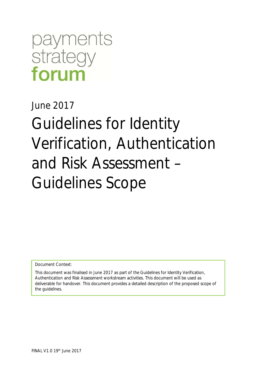# payments strategy forum

June 2017

Guidelines for Identity Verification, Authentication and Risk Assessment – Guidelines Scope

Document Context:

This document was finalised in June 2017 as part of the Guidelines for Identity Verification, Authentication and Risk Assessment workstream activities. This document will be used as deliverable for handover. This document provides a detailed description of the proposed scope of the guidelines.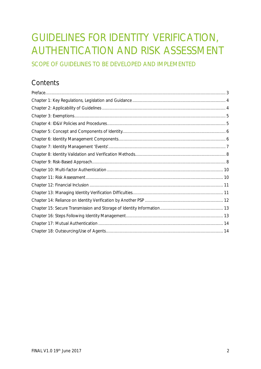### GUIDELINES FOR IDENTITY VERIFICATION, AUTHENTICATION AND RISK ASSESSMENT

SCOPE OF GUIDELINES TO BE DEVELOPED AND IMPLEMENTED

### **Contents**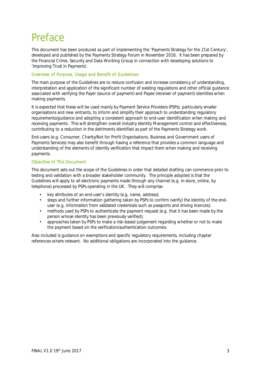### Preface

This document has been produced as part of implementing the 'Payments Strategy for the 21st Century', developed and published by the Payments Strategy Forum in November 2016. It has been prepared by the Financial Crime, Security and Data Working Group in connection with developing solutions to 'Improving Trust in Payments'.

#### Overview of Purpose, Usage and Benefit of Guidelines

The main purpose of the Guidelines are to reduce confusion and increase consistency of understanding, interpretation and application of the significant number of existing regulations and other official guidance associated with verifying the Payer (source of payment) and Payee (receiver of payment) identities when making payments.

It is expected that these will be used mainly by Payment Service Providers (PSPs), particularly smaller organisations and new entrants, to inform and simplify their approach to understanding regulatory requirements/guidance and adopting a consistent approach to end-user identification when making and receiving payments. This will strengthen overall industry Identity Management control and effectiveness, contributing to a reduction in the detriments identified as part of the Payments Strategy work.

End-users (e.g. Consumer, Charity/Not for Profit Organisations, Business and Government users of Payments Services) may also benefit through having a reference that provides a common language and understanding of the elements of identity verification that impact them when making and receiving payments.

#### Objective of This Document

This document sets out the scope of the Guidelines in order that detailed drafting can commence prior to testing and validation with a broader stakeholder community. The principle adopted is that the Guidelines will apply to all electronic payments made through any channel (e.g. in-store, online, by telephone) processed by PSPs operating in the UK. They will comprise:

- key attributes of an end-user's identity (e.g. name, address);
- steps and further information gathering taken by PSPs to confirm (verify) the identity of the enduser (e.g. information from validated credentials such as passports and driving licences);
- methods used by PSPs to authenticate the payment request (e.g. that it has been made by the person whose identity has been previously verified);
- approaches taken by PSPs to make a risk-based judgement regarding whether or not to make the payment based on the verification/authentication outcomes.

Also included is guidance on exemptions and specific regulatory requirements, including chapter references where relevant. No additional obligations are incorporated into the guidance.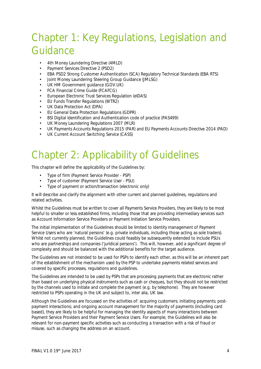### Chapter 1: Key Regulations, Legislation and Guidance

- 4th Money Laundering Directive (4MLD)
- Payment Services Directive 2 (PSD2)
- EBA PSD2 Strong Customer Authentication (SCA) Regulatory Technical Standards (EBA RTS)
- Joint Money Laundering Steering Group Guidance (JMLSG)
- UK HM Government guidance (GOV.UK)
- FCA Financial Crime Guide (FCAFCG)
- European Electronic Trust Services Regulation (eIDAS)
- EU Funds Transfer Regulations (WTR2)
- UK Data Protection Act (DPA)
- EU General Data Protection Regulations (GDPR)
- BSI Digital Identification and Authentication code of practice (PAS499)
- UK Money Laundering Regulations 2007 (MLR)
- UK Payments Accounts Regulations 2015 (PAR) and EU Payments Accounts Directive 2014 (PAD)
- UK Current Account Switching Service (CASS)

### Chapter 2: Applicability of Guidelines

This chapter will define the applicability of the Guidelines by:

- Type of firm (Payment Service Provider PSP)
- Type of customer (Payment Service User PSU)
- Type of payment or action/transaction (electronic only)

It will describe and clarify the alignment with other current and planned guidelines, regulations and related activities.

Whilst the Guidelines must be written to cover all Payments Service Providers, they are likely to be most helpful to smaller or less established firms, including those that are providing intermediary services such as Account Information Service Providers or Payment Initiation Service Providers.

The initial implementation of the Guidelines should be limited to identity management of Payment Service Users who are 'natural persons' (e.g. private individuals, including those acting as sole traders). Whilst not currently planned, the Guidelines could feasibly be subsequently extended to include PSUs who are partnerships and companies ('juridical persons'). This will, however, add a significant degree of complexity and should be balanced with the additional benefits for the target audience.

The Guidelines are not intended to be used for PSPs to identify each other, as this will be an inherent part of the establishment of the mechanism used by the PSP to undertake payments related services and covered by specific processes, regulations and guidelines.

The Guidelines are intended to be used by PSPs that are processing payments that are electronic rather than based on underlying physical instruments such as cash or cheques, but they should not be restricted by the channels used to initiate and complete the payment (e.g. by telephone). They are however restricted to PSPs operating in the UK and subject to, inter alia, UK law.

Although the Guidelines are focussed on the activities of: acquiring customers; initiating payments; postpayment interactions; and ongoing account management for the majority of payments (including card based), they are likely to be helpful for managing the identity aspects of many interactions between Payment Service Providers and their Payment Service Users. For example, the Guidelines will also be relevant for non-payment specific activities such as conducting a transaction with a risk of fraud or misuse, such as changing the address on an account.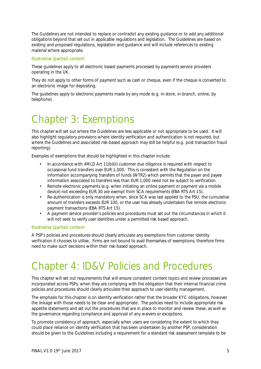The Guidelines are not intended to replace or contradict any existing guidance or to add any additional obligations beyond that set out in applicable regulations and legislation. The Guidelines are based on existing and proposed regulations, legislation and guidance and will include references to existing material where appropriate.

#### Illustrative (partial) content

These guidelines apply to all electronic based payments processed by payments service providers operating in the UK.

They do not apply to other forms of payment such as cash or cheque, even if the cheque is converted to an electronic image for depositing.

The guidelines apply to electronic payments made by any mode (e.g. in-store, in-branch, online, by telephone).

### Chapter 3: Exemptions

This chapter will set out where the Guidelines are less applicable or not appropriate to be used. It will also highlight regulatory provisions where identity verification and authentication is not required, but where the Guidelines and associated risk-based approach may still be helpful (e.g. post transaction fraud reporting).

Examples of exemptions that should be highlighted in this chapter include:

- In accordance with 4MLD Art 11(b)(ii) customer due diligence is required with respect to occasional fund transfers over EUR 1,000. This is consistent with the Regulation on the information accompanying transfers of funds (WTR2) which permits that the payer and payee information associated to transfers less than EUR 1,000 need not be subject to verification.
- Remote electronic payments (e.g. when initiating an online payment or payment via a mobile device) not exceeding EUR 30 are exempt from SCA requirements (EBA RTS Art 15).
- Re-authentication is only mandatory when, since SCA was last applied to the PSU, the cumulative amount of transfers exceeds EUR 100, or the user has already undertaken five remote electronic payment transactions (EBA RTS Art 15).
- A payment service provider's policies and procedures must set out the circumstances in which it will not seek to verify user identities under a permitted risk based approach.

#### Illustrative (partial) content

A PSP's policies and procedures should clearly articulate any exemptions from customer identity verification it chooses to utilise. Firms are not bound to avail themselves of exemptions; therefore firms need to make such decisions within their risk-based approach.

### Chapter 4: ID&V Policies and Procedures

This chapter will set out requirements that will ensure consistent content topics and review processes are incorporated across PSPs, when they are complying with the obligation that their internal financial crime policies and procedures should clearly articulate their approach to user identity management.

The emphasis for this chapter is on identity verification rather that the broader KYC obligations, however the linkage with those needs to be clear and appropriate. The policies need to include appropriate risk appetite statements and set out the procedures that are in place to monitor and review these, as well as the governance regarding compliance and approval of any waivers or exceptions.

To promote consistency of approach, especially when users are considering the extent to which they could place reliance on identity verification that has been undertaken by another PSP, consideration should be given to the Guidelines including a requirement for a standard risk assessment template to be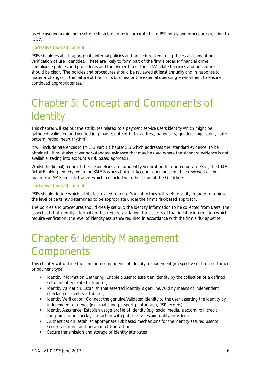used, covering a minimum set of risk factors to be incorporated into PSP policy and procedures relating to ID&V.

#### Illustrative (partial) content

PSPs should establish appropriate internal policies and procedures regarding the establishment and verification of user identities. These are likely to form part of the firm's broader financial crime compliance policies and procedures and the ownership of the ID&V related policies and procedures should be clear. The policies and procedures should be reviewed at least annually and in response to material changes in the nature of the firm's business or the external operating environment to ensure continued appropriateness.

### Chapter 5: Concept and Components of **Identity**

This chapter will set out the attributes related to a payment service users identity which might be gathered, validated and verified (e.g. name, date of birth, address, nationality, gender, finger print, voice pattern, retina, heart rhythm)

It will include references to JMLSG Part 1 Chapter 5.3 which addresses the 'standard evidence' to be obtained. It must also cover non-standard evidence that may be used where the standard evidence is not available, taking into account a risk based approach.

Whilst the (initial) scope of these Guidelines are for identity verification for non-corporate PSUs, the CMA Retail Banking remedy regarding SME Business Current Account opening should be reviewed as the majority of SME are sole traders which are included in the scope of the Guidelines.

#### Illustrative (partial) content

PSPs should decide which attributes related to a user's identity they will seek to verify in order to achieve the level of certainty determined to be appropriate under the firm's risk-based approach.

The policies and procedures should clearly set out: the identity information to be collected from users; the aspects of that identity information that require validation; the aspects of that identity information which require verification; the level of identity assurance required in accordance with the firm's risk appetite.

### Chapter 6: Identity Management **Components**

This chapter will outline the common components of identity management (irrespective of firm, customer or payment type):

- Identity Information Gathering: Enable a user to assert an identity by the collection of a defined set of identity related attributes;
- Identity Validation: Establish that asserted identity is genuine/valid by means of independent checking of identity attributes;
- Identity Verification: Connect the genuine/validated identity to the user asserting the identity by independent evidence (e.g. matching passport photograph, PSP records)
- Identity Assurance: Establish usage profile of identity (e.g. social media, electoral roll, credit footprint, fraud checks, interaction with public services and utility providers)
- Authentication: establish appropriate risk based mechanisms for the identity assured user to securely confirm authorisation of transactions
- Secure transmission and storage of identity attributes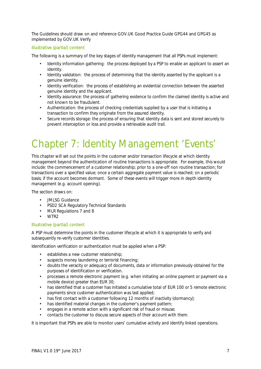The Guidelines should draw on and reference GOV.UK Good Practice Guide GPG44 and GPG45 as implemented by GOV.UK Verify

#### Illustrative (partial) content

The following is a summary of the key stages of identity management that all PSPs must implement:

- Identity information gathering: the process deployed by a PSP to enable an applicant to assert an identity.
- Identity validation: the process of determining that the identity asserted by the applicant is a genuine identity.
- Identity verification: the process of establishing an evidential connection between the asserted genuine identity and the applicant.
- Identity assurance: the process of gathering evidence to confirm the claimed identity is active and not known to be fraudulent.
- Authentication: the process of checking credentials supplied by a user that is initiating a transaction to confirm they originate from the assured identity.
- Secure records storage: the process of ensuring that identity data is sent and stored securely to prevent interception or loss and provide a retrievable audit trail.

### Chapter 7: Identity Management 'Events'

This chapter will set out the points in the customer and/or transaction lifecycle at which identity management beyond the authentication of routine transactions is appropriate. For example, this would include: the commencement of a customer relationship; prior to a one-off non routine transaction; for transactions over a specified value; once a certain aggregate payment value is reached; on a periodic basis; if the account becomes dormant. Some of these events will trigger more in depth identity management (e.g. account opening).

The section draws on:

- JMLSG Guidance
- PSD2 SCA Regulatory Technical Standards
- MLR Regulations 7 and 8
- WTR2

#### Illustrative (partial) content

A PSP must determine the points in the customer lifecycle at which it is appropriate to verify and subsequently re-verify customer identities.

Identification verification or authentication must be applied when a PSP:

- establishes a new customer relationship;
- suspects money laundering or terrorist financing;
- doubts the veracity or adequacy of documents, data or information previously obtained for the purposes of identification or verification.
- processes a remote electronic payment (e.g. when initiating an online payment or payment via a mobile device) greater than EUR 30;
- has identified that a customer has initiated a cumulative total of EUR 100 or 5 remote electronic payments since customer authentication was last applied;
- has first contact with a customer following 12 months of inactivity (dormancy);
- has identified material changes in the customer's payment pattern;
- engages in a remote action with a significant risk of fraud or misuse;
- contacts the customer to discuss secure aspects of their account with them.

It is important that PSPs are able to monitor users' cumulative activity and identify linked operations.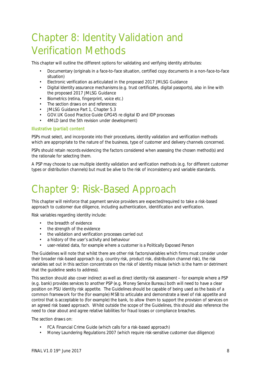### Chapter 8: Identity Validation and Verification Methods

This chapter will outline the different options for validating and verifying identity attributes:

- Documentary (originals in a face-to-face situation, certified copy documents in a non-face-to-face situation)
- Electronic verification as articulated in the proposed 2017 JMLSG Guidance
- Digital Identity assurance mechanisms (e.g. trust certificates, digital passports), also in line with the proposed 2017 JMLSG Guidance
- Biometrics (retina, fingerprint, voice etc.)
- The section draws on and references:
- JMLSG Guidance Part 1, Chapter 5.3
- GOV.UK Good Practice Guide GPG45 re digital ID and IDP processes
- 4MLD (and the 5th revision under development)

#### Illustrative (partial) content

PSPs must select, and incorporate into their procedures, identity validation and verification methods which are appropriate to the nature of the business, type of customer and delivery channels concerned.

PSPs should retain records evidencing the factors considered when assessing the chosen method(s) and the rationale for selecting them.

A PSP may choose to use multiple identity validation and verification methods (e.g. for different customer types or distribution channels) but must be alive to the risk of inconsistency and variable standards.

### Chapter 9: Risk-Based Approach

This chapter will reinforce that payment service providers are expected/required to take a risk-based approach to customer due diligence, including authentication, identification and verification.

Risk variables regarding identity include:

- the breadth of evidence
- the strength of the evidence
- the validation and verification processes carried out
- a history of the user's activity and behaviour
- user-related data, for example where a customer is a Politically Exposed Person

The Guidelines will note that whilst there are other risk factors/variables which firms must consider under their broader risk-based approach (e.g. country risk, product risk, distribution channel risk), the risk variables set out in this section concentrate on the risk of identity misuse (which is the harm or detriment that the guideline seeks to address).

This section should also cover indirect as well as direct identity risk assessment – for example where a PSP (e.g. bank) provides services to another PSP (e.g. Money Service Bureau) both will need to have a clear position on PSU identity risk appetite. The Guidelines should be capable of being used as the basis of a common framework for the (for example) MSB to articulate and demonstrate a level of risk appetite and control that is acceptable to (for example) the bank, to allow them to support the provision of services on an agreed risk based approach. Whilst outside the scope of the Guidelines, this should also reference the need to clear about and agree relative liabilities for fraud losses or compliance breaches.

The section draws on:

- FCA Financial Crime Guide (which calls for a risk-based approach)
- Money Laundering Regulations 2007 (which require risk-sensitive customer due diligence)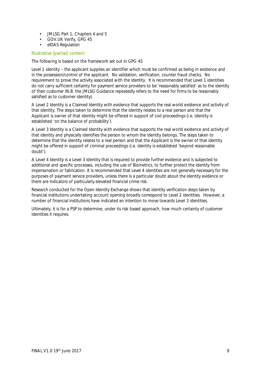- JMLSG Part 1, Chapters 4 and 5
- GOV.UK Verify, GPG 45
- eIDAS Regulation

#### Illustrative (partial) content

The following is based on the framework set out in GPG 45

Level 1 identity – the applicant supplies an identifier which must be confirmed as being in existence and in the possession/control of the applicant. No validation, verification, counter fraud checks. No requirement to prove the activity associated with the identity. It is recommended that Level 1 identities do not carry sufficient certainty for payment service providers to be 'reasonably satisfied' as to the identity of their customer (N.B. the JMLSG Guidance repeatedly refers to the need for firms to be reasonably satisfied as to customer identity).

A Level 2 Identity is a Claimed Identity with evidence that supports the real world existence and activity of that identity. The steps taken to determine that the identity relates to a real person and that the Applicant is owner of that identity might be offered in support of civil proceedings (i.e. identity is established 'on the balance of probability').

A Level 3 Identity is a Claimed Identity with evidence that supports the real world existence and activity of that identity and physically identifies the person to whom the identity belongs. The steps taken to determine that the identity relates to a real person and that the Applicant is the owner of that identity might be offered in support of criminal proceedings (i.e. identity is established 'beyond reasonable doubt').

A Level 4 Identity is a Level 3 Identity that is required to provide further evidence and is subjected to additional and specific processes, including the use of Biometrics, to further protect the identity from impersonation or fabrication. It is recommended that Level 4 identities are not generally necessary for the purposes of payment service providers, unless there is a particular doubt about the identity evidence or there are indicators of particularly elevated financial crime risk.

Research conducted for the Open Identity Exchange shows that identity verification steps taken by financial institutions undertaking account opening broadly correspond to Level 2 identities. However, a number of financial institutions have indicated an intention to move towards Level 3 identities.

Ultimately, it is for a PSP to determine, under its risk based approach, how much certainty of customer identities it requires.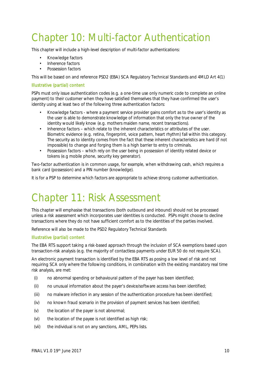### Chapter 10: Multi-factor Authentication

This chapter will include a high-level description of multi-factor authentications:

- Knowledge factors
- Inherence factors
- Possession factors

This will be based on and reference PSD2 (EBA) SCA Regulatory Technical Standards and 4MLD Art 4(1)

#### Illustrative (partial) content

PSPs must only issue authentication codes (e.g. a one-time use only numeric code to complete an online payment) to their customer when they have satisfied themselves that they have confirmed the user's identity using at least two of the following three authentication factors:

- Knowledge factors where a payment service provider gains comfort as to the user's identity as the user is able to demonstrate knowledge of information that only the true owner of the identity would likely know (e.g. mothers maiden name, recent transactions).
- Inherence factors which relate to the inherent characteristics or attributes of the user. Biometric evidence (e.g. retina, fingerprint, voice pattern, heart rhythm) fall within this category. The security as to identity comes from the fact that these inherent characteristics are hard (if not impossible) to change and forging them is a high barrier to entry to criminals.
- Possession factors which rely on the user being in possession of identity related device or tokens (e.g mobile phone, security key generator).

Two-factor authentication is in common usage, for example, when withdrawing cash, which requires a bank card (possession) and a PIN number (knowledge).

It is for a PSP to determine which factors are appropriate to achieve strong customer authentication.

### Chapter 11: Risk Assessment

This chapter will emphasise that transactions (both outbound and inbound) should not be processed unless a risk assessment which incorporates user identities is conducted. PSPs might choose to decline transactions where they do not have sufficient comfort as to the identities of the parties involved.

Reference will also be made to the PSD2 Regulatory Technical Standards

#### Illustrative (partial) content

The EBA RTS support taking a risk-based approach through the inclusion of SCA exemptions based upon transaction-risk analysis (e.g. the majority of contactless payments under EUR 50 do not require SCA).

An electronic payment transaction is identified by the EBA RTS as posing a low level of risk and not requiring SCA only where the following conditions, in combination with the existing mandatory real time risk analysis, are met:

- (i) no abnormal spending or behavioural pattern of the payer has been identified;
- (ii) no unusual information about the payer's device/software access has been identified;
- (iii) no malware infection in any session of the authentication procedure has been identified;
- (iv) no known fraud scenario in the provision of payment services has been identified;
- (v) the location of the payer is not abnormal;
- (vi) the location of the payee is not identified as high risk;
- (vii) the individual is not on any sanctions, AML, PEPs lists.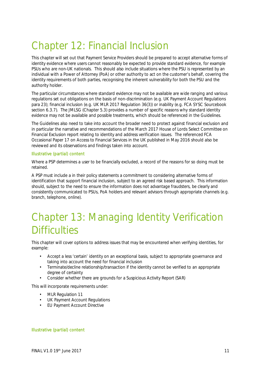## Chapter 12: Financial Inclusion

This chapter will set out that Payment Service Providers should be prepared to accept alternative forms of identity evidence where users cannot reasonably be expected to provide standard evidence, for example PSUs who are non-UK nationals. This should also include situations where the PSU is represented by an individual with a Power of Attorney (PoA) or other authority to act on the customer's behalf, covering the identity requirements of both parties, recognising the inherent vulnerability for both the PSU and the authority holder.

The particular circumstances where standard evidence may not be available are wide ranging and various regulations set out obligations on the basis of non-discrimination (e.g. UK Payment Account Regulations para 23); financial inclusion (e.g. UK MLR 2017 Regulation 36(3)) or inability (e.g. FCA SYSC Sourcebook section 6.3.7). The JMLSG (Chapter 5.3) provides a number of specific reasons why standard identity evidence may not be available and possible treatments, which should be referenced in the Guidelines.

The Guidelines also need to take into account the broader need to protect against financial exclusion and in particular the narrative and recommendations of the March 2017 House of Lords Select Committee on Financial Exclusion report relating to identity and address verification issues. The referenced FCA Occasional Paper 17 on Access to Financial Services in the UK published in May 2016 should also be reviewed and its observations and findings taken into account.

#### Illustrative (partial) content

Where a PSP determines a user to be financially excluded, a record of the reasons for so doing must be retained.

A PSP must include a in their policy statements a commitment to considering alternative forms of identification that support financial inclusion, subject to an agreed risk based approach. This information should, subject to the need to ensure the information does not advantage fraudsters, be clearly and consistently communicated to PSUs, PoA holders and relevant advisors through appropriate channels (e.g. branch, telephone, online).

### Chapter 13: Managing Identity Verification **Difficulties**

This chapter will cover options to address issues that may be encountered when verifying identities, for example:

- Accept a less 'certain' identity on an exceptional basis, subject to appropriate governance and taking into account the need for financial inclusion
- Terminate/decline relationship/transaction if the identity cannot be verified to an appropriate degree of certainty
- Consider whether there are grounds for a Suspicious Activity Report (SAR)

This will incorporate requirements under:

- MLR Regulation 11
- UK Payment Account Regulations
- EU Payment Account Directive

#### Illustrative (partial) content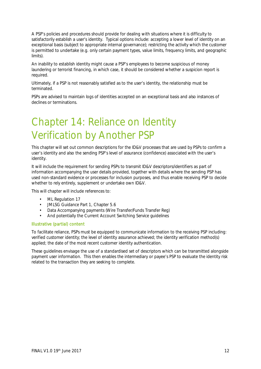A PSP's policies and procedures should provide for dealing with situations where it is difficulty to satisfactorily establish a user's identity. Typical options include: accepting a lower level of identity on an exceptional basis (subject to appropriate internal governance); restricting the activity which the customer is permitted to undertake (e.g. only certain payment types, value limits, frequency limits, and geographic limits).

An inability to establish identity might cause a PSP's employees to become suspicious of money laundering or terrorist financing, in which case, it should be considered whether a suspicion report is required.

Ultimately, if a PSP is not reasonably satisfied as to the user's identity, the relationship must be terminated.

PSPs are advised to maintain logs of identities accepted on an exceptional basis and also instances of declines or terminations.

### Chapter 14: Reliance on Identity Verification by Another PSP

This chapter will set out common descriptions for the ID&V processes that are used by PSPs to confirm a user's identity and also the sending PSP's level of assurance (confidence) associated with the user's identity.

It will include the requirement for sending PSPs to transmit ID&V descriptors/identifiers as part of information accompanying the user details provided, together with details where the sending PSP has used non-standard evidence or processes for inclusion purposes, and thus enable receiving PSP to decide whether to rely entirely, supplement or undertake own ID&V.

This will chapter will include references to:

- ML Regulation 17
- JMLSG Guidance Part 1, Chapter 5.6
- Data Accompanying payments (Wire Transfer/Funds Transfer Reg)
- And potentially the Current Account Switching Service guidelines

#### Illustrative (partial) content

To facilitate reliance, PSPs must be equipped to communicate information to the receiving PSP including: verified customer identity; the level of identity assurance achieved; the identity verification method(s) applied; the date of the most recent customer identity authentication.

These guidelines envisage the use of a standardised set of descriptors which can be transmitted alongside payment user information. This then enables the intermediary or payee's PSP to evaluate the identity risk related to the transaction they are seeking to complete.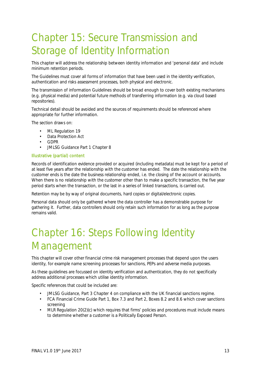### Chapter 15: Secure Transmission and Storage of Identity Information

This chapter will address the relationship between identity information and 'personal data' and include minimum retention periods.

The Guidelines must cover all forms of information that have been used in the identity verification, authentication and risks assessment processes, both physical and electronic.

The transmission of information Guidelines should be broad enough to cover both existing mechanisms (e.g. physical media) and potential future methods of transferring information (e.g. via cloud based repositories).

Technical detail should be avoided and the sources of requirements should be referenced where appropriate for further information.

The section draws on:

- ML Regulation 19
- Data Protection Act
- GDPR
- JMLSG Guidance Part 1 Chapter 8

#### Illustrative (partial) content

Records of identification evidence provided or acquired (including metadata) must be kept for a period of at least five years after the relationship with the customer has ended. The date the relationship with the customer ends is the date the business relationship ended, i.e. the closing of the account or accounts. When there is no relationship with the customer other than to make a specific transaction, the five year period starts when the transaction, or the last in a series of linked transactions, is carried out.

Retention may be by way of original documents, hard copies or digital/electronic copies.

Personal data should only be gathered where the data controller has a demonstrable purpose for gathering it. Further, data controllers should only retain such information for as long as the purpose remains valid.

### Chapter 16: Steps Following Identity Management

This chapter will cover other financial crime risk management processes that depend upon the users identity, for example name screening processes for sanctions, PEPs and adverse media purposes.

As these guidelines are focussed on identity verification and authentication, they do not specifically address additional processes which utilise identity information.

Specific references that could be included are:

- JMLSG Guidance, Part 3 Chapter 4 on compliance with the UK financial sanctions regime.
- FCA Financial Crime Guide Part 1, Box 7.3 and Part 2, Boxes 8.2 and 8.6 which cover sanctions screening
- MLR Regulation 20(2)(c) which requires that firms' policies and procedures must include means to determine whether a customer is a Politically Exposed Person.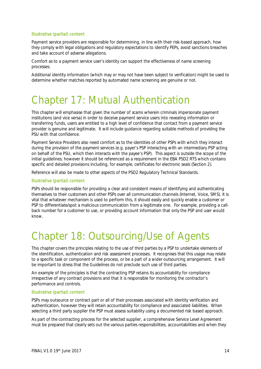#### Illustrative (partial) content

Payment service providers are responsible for determining, in line with their risk-based approach, how they comply with legal obligations and regulatory expectations to identify PEPs, avoid sanctions breaches and take account of adverse allegations.

Comfort as to a payment service user's identity can support the effectiveness of name screening processes.

Additional identity information (which may or may not have been subject to verification) might be used to determine whether matches reported by automated name screening are genuine or not.

### Chapter 17: Mutual Authentication

This chapter will emphasise that given the number of scams wherein criminals impersonate payment institutions (and vice versa) in order to deceive payment service users into revealing information or transferring funds, users are entitled to a high level of confidence that contact from a payment service provider is genuine and legitimate. It will include guidance regarding suitable methods of providing the PSU with that confidence.

Payment Service Providers also need comfort as to the identities of other PSPs with which they interact during the provision of the payment services (e.g. payer's PSP interacting with an intermediary PSP acting on behalf of the PSU, which then interacts with the payee's PSP). This aspect is outside the scope of the initial guidelines; however it should be referenced as a requirement in the EBA PSD2 RTS which contains specific and detailed provisions including, for example, certificates for electronic seals (Section 2).

Reference will also be made to other aspects of the PSD2 Regulatory Technical Standards.

#### Illustrative (partial) content

PSPs should be responsible for providing a clear and consistent means of identifying and authenticating themselves to their customers and other PSPs over all communication channels (Internet, Voice, SMS). It is vital that whatever mechanism is used to perform this, it should easily and quickly enable a customer or PSP to differentiate/spot a malicious communication from a legitimate one. For example, providing a callback number for a customer to use, or providing account information that only the PSP and user would know.

### Chapter 18: Outsourcing/Use of Agents

This chapter covers the principles relating to the use of third parties by a PSP to undertake elements of the identification, authentication and risk assessment processes. It recognises that this usage may relate to a specific task or component of the process, or be a part of a wider outsourcing arrangement. It will be important to stress that the Guidelines do not preclude such use of third parties.

An example of the principles is that the contracting PSP retains its accountability for compliance irrespective of any contract provisions and that it is responsible for monitoring the contractor's performance and controls.

#### Illustrative (partial) content

PSPs may outsource or contract part or all of their processes associated with identity verification and authentication, however they will retain accountability for compliance and associated liabilities. When selecting a third party supplier the PSP must assess suitability using a documented risk based approach.

As part of the contracting process for the selected supplier, a comprehensive Service Level Agreement must be prepared that clearly sets out the various parties responsibilities, accountabilities and when they